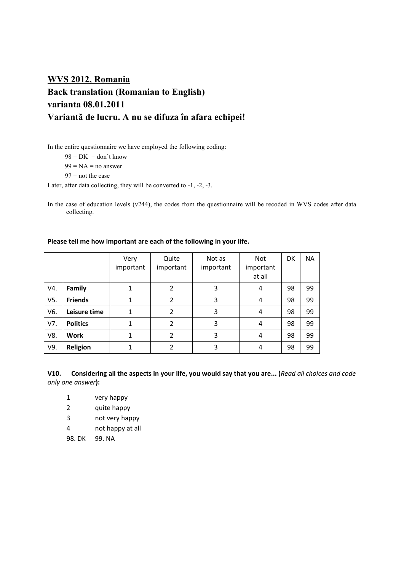# **WVS 2012, Romania Back translation (Romanian to English) varianta 08.01.2011 Variantă de lucru. A nu se difuza în afara echipei!**

In the entire questionnaire we have employed the following coding:

 $98 = DK = don't know$ 

 $99 = NA = no answer$ 

 $97$  = not the case

Later, after data collecting, they will be converted to -1, -2, -3.

In the case of education levels (v244), the codes from the questionnaire will be recoded in WVS codes after data collecting.

|     |                 | Very<br>important | Quite<br>important | Not as<br>important | <b>Not</b><br>important<br>at all | DK | <b>NA</b> |
|-----|-----------------|-------------------|--------------------|---------------------|-----------------------------------|----|-----------|
| V4. | Family          | 1                 | 2                  | 3                   | 4                                 | 98 | 99        |
| V5. | <b>Friends</b>  |                   | 2                  | 3                   | 4                                 | 98 | 99        |
| V6. | Leisure time    | 1                 | 2                  | 3                   | 4                                 | 98 | 99        |
| V7. | <b>Politics</b> |                   | $\mathcal{P}$      | 3                   | 4                                 | 98 | 99        |
| V8. | Work            |                   | 2                  | 3                   | 4                                 | 98 | 99        |
| V9. | Religion        |                   |                    | 3                   | 4                                 | 98 | 99        |

### **Please tell me how important are each of the following in your life.**

**V10. Considering all the aspects in your life, you would say that you are... (***Read all choices and code only one answer***):**

- 1 very happy
- 2 quite happy
- 3 not very happy
- 4 not happy at all
- 98. DK 99. NA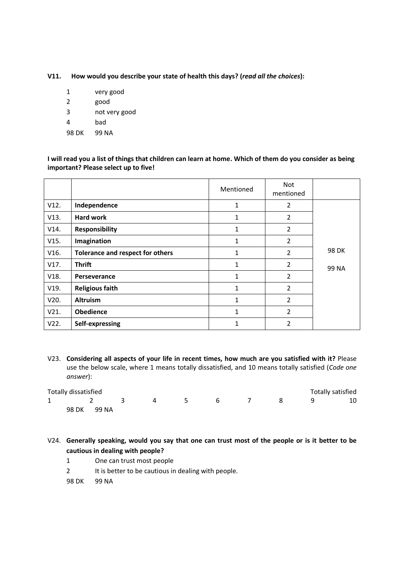**V11. How would you describe your state of health this days? (***read all the choices***):**

| 1     | very good     |
|-------|---------------|
| 2     | good          |
| 3     | not very good |
| 4     | bad           |
| 98 DK | 99 NA         |

**I will read you a list of things that children can learn at home. Which of them do you consider as being important? Please select up to five!**

|      |                                  | Mentioned    | Not<br>mentioned |       |
|------|----------------------------------|--------------|------------------|-------|
| V12. | Independence                     | 1            | $\overline{2}$   |       |
| V13. | <b>Hard work</b>                 | 1            | $\overline{2}$   |       |
| V14. | <b>Responsibility</b>            | 1            | 2                |       |
| V15. | Imagination                      | 1            | $\overline{2}$   |       |
| V16. | Tolerance and respect for others | 1            | $\overline{2}$   | 98 DK |
| V17. | <b>Thrift</b>                    | 1            | $\overline{2}$   | 99 NA |
| V18. | Perseverance                     | $\mathbf{1}$ | $\overline{2}$   |       |
| V19. | <b>Religious faith</b>           | 1            | $\overline{2}$   |       |
| V20. | <b>Altruism</b>                  | 1            | $\overline{2}$   |       |
| V21. | <b>Obedience</b>                 | 1            | $\overline{2}$   |       |
| V22. | Self-expressing                  | 1            | 2                |       |

V23. **Considering all aspects of your life in recent times, how much are you satisfied with it?** Please use the below scale, where 1 means totally dissatisfied, and 10 means totally satisfied (*Code one answer*):

|              | Totally dissatisfied |       |   |            |   |  | Totally satisfied |  |
|--------------|----------------------|-------|---|------------|---|--|-------------------|--|
| $\mathbf{1}$ |                      |       | 4 | $\sqrt{5}$ | 6 |  |                   |  |
|              | 98 DK                | 99 NA |   |            |   |  |                   |  |

V24. **Generally speaking, would you say that one can trust most of the people or is it better to be cautious in dealing with people?**

- 1 One can trust most people
- 2 It is better to be cautious in dealing with people.

98 DK 99 NA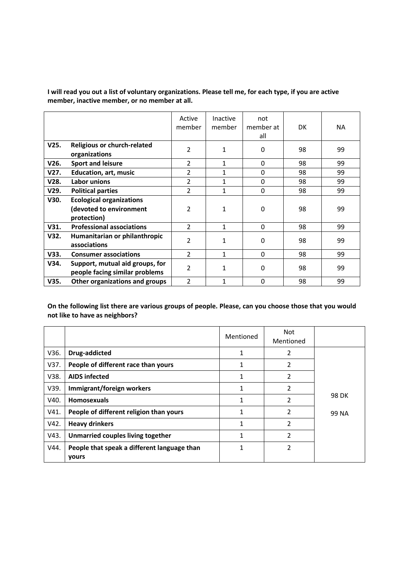**I will read you out a list of voluntary organizations. Please tell me, for each type, if you are active member, inactive member, or no member at all.**

|      |                                                                           | Active<br>member | Inactive<br>member | not<br>member at<br>all | <b>DK</b> | NA. |
|------|---------------------------------------------------------------------------|------------------|--------------------|-------------------------|-----------|-----|
| V25. | <b>Religious or church-related</b><br>organizations                       | $\overline{2}$   | 1                  | $\Omega$                | 98        | 99  |
| V26. | <b>Sport and leisure</b>                                                  | $\overline{2}$   | 1                  | $\Omega$                | 98        | 99  |
| V27. | <b>Education, art, music</b>                                              | $\overline{2}$   | 1                  | 0                       | 98        | 99  |
| V28. | Labor unions                                                              | $\overline{2}$   | 1                  | $\Omega$                | 98        | 99  |
| V29. | <b>Political parties</b>                                                  | $\overline{2}$   | 1                  | 0                       | 98        | 99  |
| V30. | <b>Ecological organizations</b><br>(devoted to environment<br>protection) | 2                | $\mathbf{1}$       | $\Omega$                | 98        | 99  |
| V31. | <b>Professional associations</b>                                          | $\overline{2}$   | 1                  | $\Omega$                | 98        | 99  |
| V32. | Humanitarian or philanthropic<br>associations                             | 2                | 1                  | 0                       | 98        | 99  |
| V33. | <b>Consumer associations</b>                                              | $\overline{2}$   | $\mathbf{1}$       | 0                       | 98        | 99  |
| V34. | Support, mutual aid groups, for<br>people facing similar problems         | $\overline{2}$   | $\mathbf{1}$       | $\Omega$                | 98        | 99  |
| V35. | Other organizations and groups                                            | $\overline{2}$   | 1                  | 0                       | 98        | 99  |

**On the following list there are various groups of people. Please, can you choose those that you would not like to have as neighbors?**

|      |                                                      | Mentioned | Not<br>Mentioned |       |
|------|------------------------------------------------------|-----------|------------------|-------|
| V36. | Drug-addicted                                        |           | 2                |       |
| V37. | People of different race than yours                  |           | 2                |       |
| V38. | <b>AIDS infected</b>                                 |           | 2                |       |
| V39. | Immigrant/foreign workers                            |           | 2                |       |
| V40. | <b>Homosexuals</b>                                   |           | 2                | 98 DK |
| V41. | People of different religion than yours              |           | $\overline{2}$   | 99 NA |
| V42. | <b>Heavy drinkers</b>                                |           | 2                |       |
| V43. | Unmarried couples living together                    | 1         | 2                |       |
| V44. | People that speak a different language than<br>yours |           | 2                |       |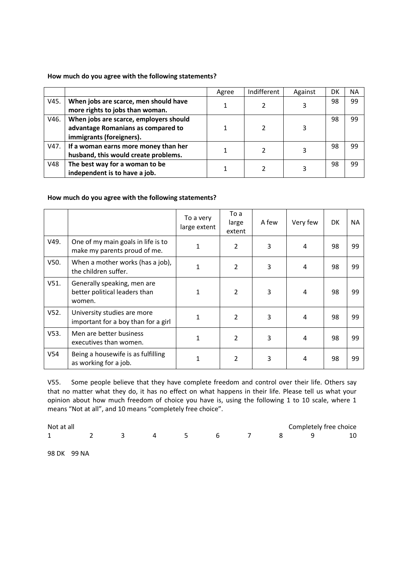### **How much do you agree with the following statements?**

|      |                                        | Agree | Indifferent | Against | Dŀ | <b>NA</b> |
|------|----------------------------------------|-------|-------------|---------|----|-----------|
| V45. | When jobs are scarce, men should have  |       |             | 3       | 98 | 99        |
|      | more rights to jobs than woman.        |       |             |         |    |           |
| V46. | When jobs are scarce, employers should |       |             |         | 98 | 99        |
|      | advantage Romanians as compared to     |       |             |         |    |           |
|      | immigrants (foreigners).               |       |             |         |    |           |
| V47. | If a woman earns more money than her   |       |             |         | 98 | 99        |
|      | husband, this would create problems.   |       |             |         |    |           |
| V48  | The best way for a woman to be         |       |             |         | 98 | 99        |
|      | independent is to have a job.          |       |             |         |    |           |

### **How much do you agree with the following statements?**

|         |                                                                        | To a very<br>large extent | To a<br>large<br>extent | A few | Very few | DK | <b>NA</b> |
|---------|------------------------------------------------------------------------|---------------------------|-------------------------|-------|----------|----|-----------|
| V49.    | One of my main goals in life is to<br>make my parents proud of me.     | 1                         | 2                       | 3     | 4        | 98 | 99        |
| V50.    | When a mother works (has a job),<br>the children suffer.               | 1                         | 2                       | 3     | 4        | 98 | 99        |
| V51.    | Generally speaking, men are<br>better political leaders than<br>women. | 1                         | 2                       | 3     | 4        | 98 | 99        |
| $V52$ . | University studies are more<br>important for a boy than for a girl     | 1                         | $\overline{2}$          | 3     | 4        | 98 | 99        |
| $V53$ . | Men are better business<br>executives than women.                      | 1                         | $\overline{2}$          | 3     | 4        | 98 | 99        |
| V54     | Being a housewife is as fulfilling<br>as working for a job.            |                           | 2                       | 3     | 4        | 98 | 99        |

V55. Some people believe that they have complete freedom and control over their life. Others say that no matter what they do, it has no effect on what happens in their life. Please tell us what your opinion about how much freedom of choice you have is, using the following 1 to 10 scale, where 1 means "Not at all", and 10 means "completely free choice".

| Not at all | Completely free choice |  |  |  |  |  |  |  |  |
|------------|------------------------|--|--|--|--|--|--|--|--|
|            |                        |  |  |  |  |  |  |  |  |

98 DK 99 NA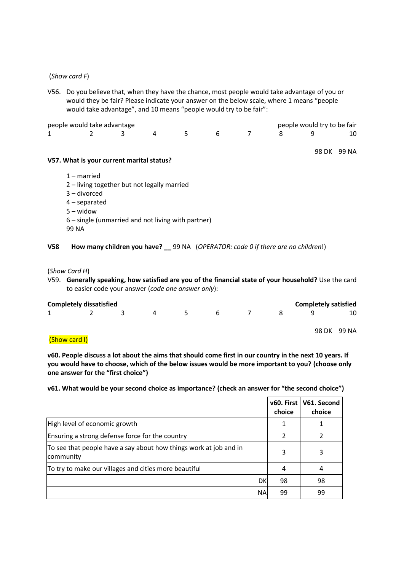#### (*Show card F*)

V56. Do you believe that, when they have the chance, most people would take advantage of you or would they be fair? Please indicate your answer on the below scale, where 1 means "people would take advantage", and 10 means "people would try to be fair":

| people would take advantage |  |                |      |   |  | people would try to be fair |  |
|-----------------------------|--|----------------|------|---|--|-----------------------------|--|
| $1 \quad \blacksquare$      |  | $\overline{a}$ | $-5$ | 6 |  |                             |  |

#### 98 DK 99 NA

#### **V57. What is your current marital status?**

- 1 married
- 2 living together but not legally married
- 3 divorced
- 4 separated
- 5 widow
- 6 single (unmarried and not living with partner)
- 99 NA
- **V58 How many children you have? \_\_** 99 NA (*OPERATOR: code 0 if there are no children*!)

#### (*Show Card H*)

V59. **Generally speaking, how satisfied are you of the financial state of your household?** Use the card to easier code your answer (*code one answer only*):

|   | <b>Completely dissatisfied</b><br><b>Completely satisfied</b> |  |   |     |              |  |  |  |             |
|---|---------------------------------------------------------------|--|---|-----|--------------|--|--|--|-------------|
| 1 |                                                               |  | 4 | -5. | <sub>b</sub> |  |  |  | 10          |
|   |                                                               |  |   |     |              |  |  |  | 98 DK 99 NA |

### (Show card I)

**v60. People discuss a lot about the aims that should come first in our country in the next 10 years. If you would have to choose, which of the below issues would be more important to you? (choose only one answer for the "first choice")**

#### **v61. What would be your second choice as importance? (check an answer for "the second choice")**

|                                                                                |           | choice | v60. First   V61. Second<br>choice |
|--------------------------------------------------------------------------------|-----------|--------|------------------------------------|
| High level of economic growth                                                  |           |        |                                    |
| Ensuring a strong defense force for the country                                |           |        |                                    |
| To see that people have a say about how things work at job and in<br>community |           |        |                                    |
| To try to make our villages and cities more beautiful                          |           | 4      | 4                                  |
|                                                                                | DK        | 98     | 98                                 |
|                                                                                | <b>NA</b> | 99     | 99                                 |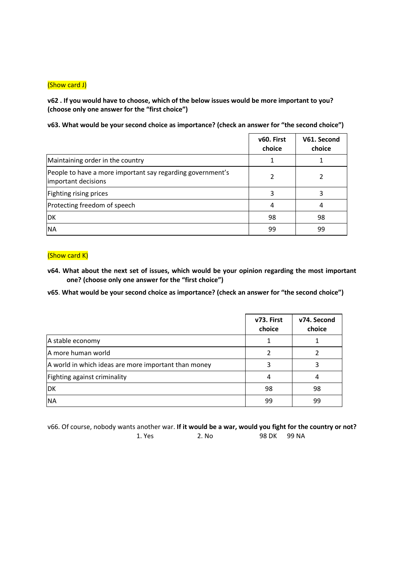### (Show card J)

**v62 . If you would have to choose, which of the below issues would be more important to you? (choose only one answer for the "first choice")**

**v63. What would be your second choice as importance? (check an answer for "the second choice")**

|                                                                                   | v60. First<br>choice | V61. Second<br>choice |
|-----------------------------------------------------------------------------------|----------------------|-----------------------|
| Maintaining order in the country                                                  |                      |                       |
| People to have a more important say regarding government's<br>important decisions |                      |                       |
| Fighting rising prices                                                            | 3                    |                       |
| Protecting freedom of speech                                                      | 4                    | 4                     |
| DK                                                                                | 98                   | 98                    |
| <b>NA</b>                                                                         | 99                   | 99                    |

### (Show card K)

- **v64. What about the next set of issues, which would be your opinion regarding the most important one? (choose only one answer for the "first choice")**
- **v65**. **What would be your second choice as importance? (check an answer for "the second choice")**

|                                                      | v73. First<br>choice | v74. Second<br>choice |
|------------------------------------------------------|----------------------|-----------------------|
| A stable economy                                     |                      |                       |
| A more human world                                   |                      |                       |
| A world in which ideas are more important than money |                      |                       |
| Fighting against criminality                         |                      |                       |
| DK                                                   | 98                   | 98                    |
| <b>NA</b>                                            | 99                   | 99                    |

v66. Of course, nobody wants another war. **If it would be a war, would you fight for the country or not?** 1. Yes 2. No 98 DK 99 NA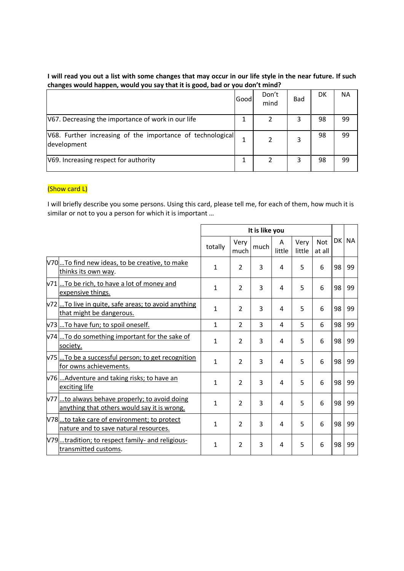### **I will read you out a list with some changes that may occur in our life style in the near future. If such changes would happen, would you say that it is good, bad or you don't mind?**

|                                                                           | Good | Don't<br>mind | <b>Bad</b> | DK | NА |  |
|---------------------------------------------------------------------------|------|---------------|------------|----|----|--|
| V67. Decreasing the importance of work in our life                        |      |               |            | 98 | 99 |  |
| V68. Further increasing of the importance of technological<br>development |      |               | 3          | 98 | 99 |  |
| V69. Increasing respect for authority                                     |      |               | 3          | 98 | 99 |  |

## (Show card L)

I will briefly describe you some persons. Using this card, please tell me, for each of them, how much it is similar or not to you a person for which it is important …

|                                                                                             |              | It is like you       |                |             |                                        |   |    |       |  |  |
|---------------------------------------------------------------------------------------------|--------------|----------------------|----------------|-------------|----------------------------------------|---|----|-------|--|--|
|                                                                                             | totally      | Very<br>much<br>much |                | A<br>little | <b>Not</b><br>Very<br>little<br>at all |   |    | DK NA |  |  |
| V70To find new ideas, to be creative, to make<br>thinks its own way.                        | $\mathbf{1}$ | $\overline{2}$       | 3              | 4           | 5                                      | 6 | 98 | 99    |  |  |
| v71To be rich, to have a lot of money and<br>expensive things.                              | $\mathbf{1}$ | $\overline{2}$       | 3              | 4           | 5                                      | 6 | 98 | 99    |  |  |
| v72. To live in quite, safe areas; to avoid anything<br>that might be dangerous.            | $\mathbf{1}$ | $\overline{2}$       | 3              | 4           | 5                                      | 6 | 98 | 99    |  |  |
| v73 To have fun; to spoil oneself.                                                          | $\mathbf{1}$ | $\overline{2}$       | 3              | 4           | 5                                      | 6 | 98 | 99    |  |  |
| v74. To do something important for the sake of<br>society.                                  | $\mathbf{1}$ | $\overline{2}$       | 3              | 4           | 5                                      | 6 | 98 | 99    |  |  |
| v75To be a successful person; to get recognition<br>for owns achievements.                  | $\mathbf{1}$ | $\overline{2}$       | 3              | 4           | 5                                      | 6 | 98 | 99    |  |  |
| v76Adventure and taking risks; to have an<br>exciting life                                  | $\mathbf{1}$ | $\overline{2}$       | $\overline{3}$ | 4           | 5                                      | 6 | 98 | 99    |  |  |
| v77to always behave properly; to avoid doing<br>anything that others would say it is wrong. | $\mathbf{1}$ | $\overline{2}$       | 3              | 4           | 5                                      | 6 | 98 | 99    |  |  |
| V78to take care of environment; to protect<br>nature and to save natural resources.         | $\mathbf{1}$ | $\overline{2}$       | 3              | 4           | 5                                      | 6 | 98 | 99    |  |  |
| V79tradition; to respect family- and religious-<br>transmitted customs.                     | 1            | $\overline{2}$       | 3              | 4           | 5                                      | 6 | 98 | 99    |  |  |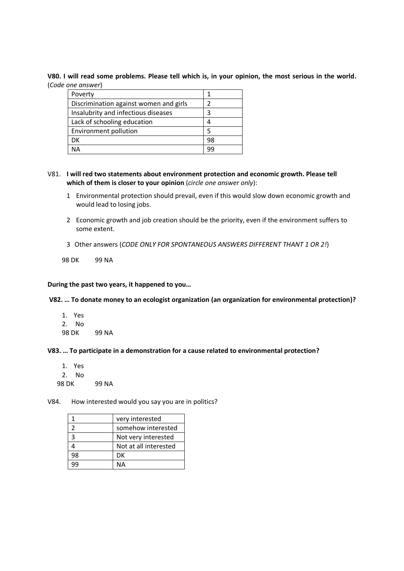#### **V80. I will read some problems. Please tell which is, in your opinion, the most serious in the world.** (*Code one answer*)

| Poverty                                |    |
|----------------------------------------|----|
| Discrimination against women and girls |    |
| Insalubrity and infectious diseases    | ว  |
| Lack of schooling education            |    |
| Environment pollution                  | 5  |
| DK                                     | 98 |
| NΔ                                     |    |

### V81. **I will red two statements about environment protection and economic growth. Please tell which of them is closer to your opinion** (*circle one answer only*):

- 1 Environmental protection should prevail, even if this would slow down economic growth and would lead to losing jobs.
- 2 Economic growth and job creation should be the priority, even if the environment suffers to some extent.
- 3 Other answers (*CODE ONLY FOR SPONTANEOUS ANSWERS DIFFERENT THANT 1 OR 2!*)

98 DK 99 NA

#### **During the past two years, it happened to you…**

#### **V82. … To donate money to an ecologist organization (an organization for environmental protection)?**

- 1. Yes
- 2. No
- 98 DK 99 NA

#### **V83. … To participate in a demonstration for a cause related to environmental protection?**

- 1. Yes 2. No
- 98 DK 99 NA

#### V84. How interested would you say you are in politics?

|    | very interested       |
|----|-----------------------|
|    | somehow interested    |
|    | Not very interested   |
|    | Not at all interested |
| 98 | DK                    |
|    | NΔ                    |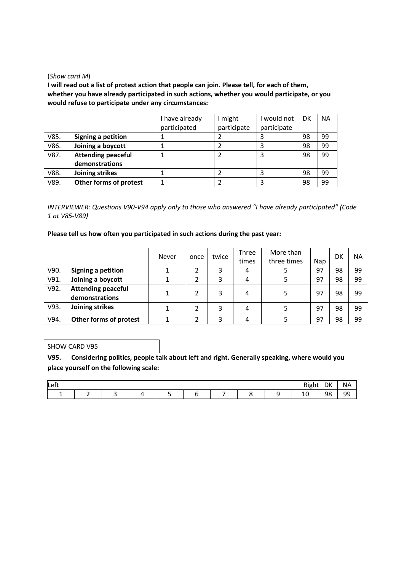#### (*Show card M*)

**I will read out a list of protest action that people can join. Please tell, for each of them, whether you have already participated in such actions, whether you would participate, or you would refuse to participate under any circumstances:**

|      |                           | I have already | might       | I would not | DK | <b>NA</b> |
|------|---------------------------|----------------|-------------|-------------|----|-----------|
|      |                           | participated   | participate | participate |    |           |
| V85. | <b>Signing a petition</b> |                |             |             | 98 | 99        |
| V86. | Joining a boycott         |                |             |             | 98 | 99        |
| V87. | <b>Attending peaceful</b> |                |             |             | 98 | 99        |
|      | demonstrations            |                |             |             |    |           |
| V88. | Joining strikes           |                |             |             | 98 | 99        |
| V89. | Other forms of protest    |                |             |             | 98 | 99        |

*INTERVIEWER: Questions V90-V94 apply only to those who answered "I have already participated" (Code 1 at V85-V89)*

#### **Please tell us how often you participated in such actions during the past year:**

|      |                                             | Never | once | twice | Three<br>times | More than<br>three times | Nap | DK | NА |
|------|---------------------------------------------|-------|------|-------|----------------|--------------------------|-----|----|----|
| V90. | Signing a petition                          |       |      |       | 4              |                          | 97  | 98 | 99 |
| V91. | Joining a boycott                           |       |      |       | 4              |                          | 97  | 98 | 99 |
| V92. | <b>Attending peaceful</b><br>demonstrations |       |      | 3     | 4              |                          | 97  | 98 | 99 |
| V93. | Joining strikes                             |       |      | 3     | 4              |                          | 97  | 98 | 99 |
| V94. | Other forms of protest                      |       |      |       | 4              |                          | 97  | 98 | 99 |

#### SHOW CARD V95

**V95. Considering politics, people talk about left and right. Generally speaking, where would you place yourself on the following scale:**

| Left<br>. . ه |  |  |  |  |  |  |  |  | ١К | <b>NA</b> |          |
|---------------|--|--|--|--|--|--|--|--|----|-----------|----------|
|               |  |  |  |  |  |  |  |  | ᅩ  | 98        | ۵Q<br>-- |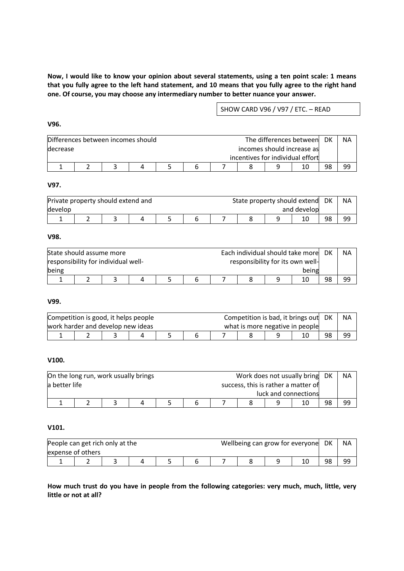**Now, I would like to know your opinion about several statements, using a ten point scale: 1 means that you fully agree to the left hand statement, and 10 means that you fully agree to the right hand one. Of course, you may choose any intermediary number to better nuance your answer.**

SHOW CARD V96 / V97 / ETC. – READ

| Differences between incomes should |  |  |  |  | The differences between<br>DK |  |  |  |                            | ΝA |  |
|------------------------------------|--|--|--|--|-------------------------------|--|--|--|----------------------------|----|--|
| decrease                           |  |  |  |  |                               |  |  |  | incomes should increase as |    |  |
| incentives for individual effort   |  |  |  |  |                               |  |  |  |                            |    |  |
| 98<br>10                           |  |  |  |  |                               |  |  |  |                            |    |  |

#### **V97.**

| Private property should extend and |  |  |             |    |  |  | DK<br>State property should extend |    |    |    |  |  |
|------------------------------------|--|--|-------------|----|--|--|------------------------------------|----|----|----|--|--|
| ldevelop                           |  |  | and develop |    |  |  |                                    |    |    |    |  |  |
|                                    |  |  |             | ــ |  |  |                                    | 10 | 98 | qq |  |  |

#### **V98.**

| State should assume more            |       |  |  |  |  | Each individual should take more |  |    |    |    | <b>NA</b> |
|-------------------------------------|-------|--|--|--|--|----------------------------------|--|----|----|----|-----------|
| responsibility for individual well- |       |  |  |  |  | responsibility for its own well- |  |    |    |    |           |
| being                               | being |  |  |  |  |                                  |  |    |    |    |           |
|                                     |       |  |  |  |  |                                  |  | 10 | 98 | 99 |           |

### **V99.**

| Competition is good, it helps people<br>work harder and develop new ideas |  |          |  |  |  | Competition is bad, it brings out<br>what is more negative in people | DK | <b>NA</b> |  |  |
|---------------------------------------------------------------------------|--|----------|--|--|--|----------------------------------------------------------------------|----|-----------|--|--|
|                                                                           |  | 98<br>99 |  |  |  |                                                                      |    |           |  |  |

### **V100.**

| On the long run, work usually brings<br>la better life |  |  |  | Work does not usually bring DK<br>success, this is rather a matter of |    | <b>NA</b> |
|--------------------------------------------------------|--|--|--|-----------------------------------------------------------------------|----|-----------|
|                                                        |  |  |  | luck and connections                                                  |    |           |
|                                                        |  |  |  |                                                                       | 98 | 99        |

### **V101.**

| People can get rich only at the<br>expense of others |  |  |  |    | Wellbeing can grow for everyone | DK | <b>NA</b> |
|------------------------------------------------------|--|--|--|----|---------------------------------|----|-----------|
|                                                      |  |  |  | 10 | 98                              | 99 |           |

**How much trust do you have in people from the following categories: very much, much, little, very little or not at all?**

### **V96.**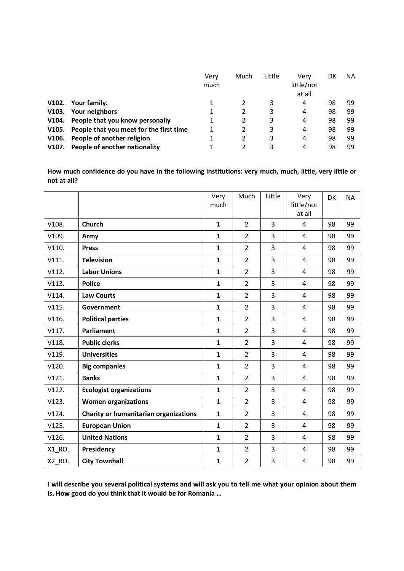|       |                                               | Verv<br>much | Much | Little | Very<br>little/not<br>at all | DK | <b>NA</b> |
|-------|-----------------------------------------------|--------------|------|--------|------------------------------|----|-----------|
| V102. | Your family.                                  |              |      | 3      | 4                            | 98 | 99        |
| V103. | Your neighbors                                | 1            |      | 3      | 4                            | 98 | 99        |
|       | V104. People that you know personally         |              |      | 3      | 4                            | 98 | 99        |
|       | V105. People that you meet for the first time |              |      | 3      | 4                            | 98 | 99        |
| V106. | People of another religion                    |              |      | 3      | 4                            | 98 | 99        |
| V107. | People of another nationality                 |              |      |        | 4                            | 98 | 99        |

**How much confidence do you have in the following institutions: very much, much, little, very little or not at all?**

|        |                                       | Very<br>much | Much           | Little         | Very<br>little/not<br>at all | <b>DK</b> | <b>NA</b> |
|--------|---------------------------------------|--------------|----------------|----------------|------------------------------|-----------|-----------|
| V108.  | <b>Church</b>                         | $\mathbf{1}$ | $\overline{2}$ | $\overline{3}$ | 4                            | 98        | 99        |
| V109.  | Army                                  | $\mathbf{1}$ | $\overline{2}$ | $\overline{3}$ | $\overline{4}$               | 98        | 99        |
| V110.  | <b>Press</b>                          | $\mathbf{1}$ | $\overline{2}$ | $\overline{3}$ | $\overline{4}$               | 98        | 99        |
| V111.  | <b>Television</b>                     | $\mathbf{1}$ | $\overline{2}$ | $\overline{3}$ | $\overline{4}$               | 98        | 99        |
| V112.  | <b>Labor Unions</b>                   | $\mathbf{1}$ | $\overline{2}$ | $\overline{3}$ | 4                            | 98        | 99        |
| V113.  | <b>Police</b>                         | $\mathbf{1}$ | $\overline{2}$ | $\overline{3}$ | 4                            | 98        | 99        |
| V114.  | <b>Law Courts</b>                     | $\mathbf 1$  | $\overline{2}$ | $\overline{3}$ | $\overline{4}$               | 98        | 99        |
| V115.  | Government                            | $\mathbf{1}$ | $\overline{2}$ | $\overline{3}$ | $\overline{4}$               | 98        | 99        |
| V116.  | <b>Political parties</b>              | $\mathbf{1}$ | $\overline{2}$ | $\overline{3}$ | $\overline{4}$               | 98        | 99        |
| V117.  | <b>Parliament</b>                     | $\mathbf{1}$ | $\overline{2}$ | $\overline{3}$ | $\overline{4}$               | 98        | 99        |
| V118.  | <b>Public clerks</b>                  | $\mathbf{1}$ | $\overline{2}$ | $\overline{3}$ | $\overline{4}$               | 98        | 99        |
| V119.  | <b>Universities</b>                   | $\mathbf 1$  | $\overline{2}$ | 3              | $\overline{4}$               | 98        | 99        |
| V120.  | <b>Big companies</b>                  | $\mathbf{1}$ | $\overline{2}$ | $\overline{3}$ | $\overline{4}$               | 98        | 99        |
| V121.  | <b>Banks</b>                          | $\mathbf{1}$ | $\overline{2}$ | $\overline{3}$ | $\overline{4}$               | 98        | 99        |
| V122.  | <b>Ecologist organizations</b>        | $\mathbf{1}$ | $\overline{2}$ | $\overline{3}$ | $\overline{4}$               | 98        | 99        |
| V123.  | <b>Women organizations</b>            | $\mathbf{1}$ | $\overline{2}$ | 3              | $\overline{4}$               | 98        | 99        |
| V124.  | Charity or humanitarian organizations | 1            | $\overline{2}$ | 3              | $\overline{4}$               | 98        | 99        |
| V125.  | <b>European Union</b>                 | $\mathbf{1}$ | $\overline{2}$ | $\overline{3}$ | $\overline{4}$               | 98        | 99        |
| V126.  | <b>United Nations</b>                 | $\mathbf{1}$ | $\overline{2}$ | $\overline{3}$ | $\overline{4}$               | 98        | 99        |
| X1_RO. | Presidency                            | $\mathbf{1}$ | $\overline{2}$ | $\overline{3}$ | 4                            | 98        | 99        |
| X2_RO. | <b>City Townhall</b>                  | $\mathbf 1$  | $\overline{2}$ | $\overline{3}$ | 4                            | 98        | 99        |

**I will describe you several political systems and will ask you to tell me what your opinion about them is. How good do you think that it would be for Romania …**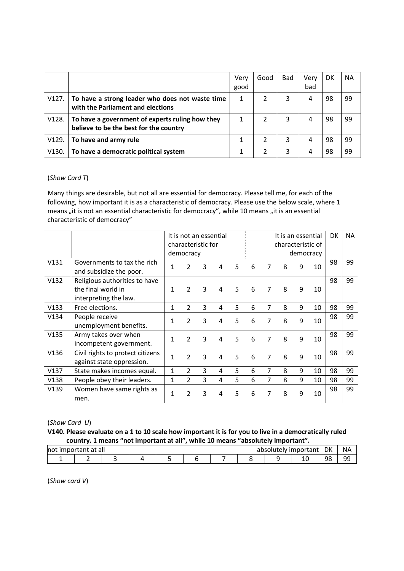|       |                                                                                              | Very<br>good | Good | <b>Bad</b> | Very<br>bad | DK | <b>NA</b> |
|-------|----------------------------------------------------------------------------------------------|--------------|------|------------|-------------|----|-----------|
|       | V127.   To have a strong leader who does not waste time<br>with the Parliament and elections | 1            |      | 3          | 4           | 98 | 99        |
| V128. | To have a government of experts ruling how they<br>believe to be the best for the country    |              |      | 3          | 4           | 98 | 99        |
| V129. | To have and army rule                                                                        |              |      | 3          | 4           | 98 | 99        |
| V130. | To have a democratic political system                                                        |              |      | 3          | 4           | 98 | 99        |

### (*Show Card T*)

Many things are desirable, but not all are essential for democracy. Please tell me, for each of the following, how important it is as a characteristic of democracy. Please use the below scale, where 1 means "it is not an essential characteristic for democracy", while 10 means "it is an essential characteristic of democracy"

|      |                                                                              | It is not an essential<br>characteristic for<br>democracy |                |   |   |    |   | It is an essential<br>characteristic of |   | democracy | DK | <b>NA</b> |    |
|------|------------------------------------------------------------------------------|-----------------------------------------------------------|----------------|---|---|----|---|-----------------------------------------|---|-----------|----|-----------|----|
| V131 | Governments to tax the rich<br>and subsidize the poor.                       | 1                                                         | $\overline{2}$ | 3 | 4 | 5  | 6 | 7                                       | 8 | 9         | 10 | 98        | 99 |
| V132 | Religious authorities to have<br>the final world in<br>interpreting the law. | 1                                                         | $\overline{2}$ | 3 | 4 | 5. | 6 |                                         | 8 | 9         | 10 | 98        | 99 |
| V133 | Free elections.                                                              | 1                                                         | $\overline{2}$ | 3 | 4 | 5  | 6 | 7                                       | 8 | 9         | 10 | 98        | 99 |
| V134 | People receive<br>unemployment benefits.                                     | 1                                                         | $\mathcal{P}$  | 3 | 4 | 5. | 6 | 7                                       | 8 | 9         | 10 | 98        | 99 |
| V135 | Army takes over when<br>incompetent government.                              | 1                                                         | $\mathcal{P}$  | 3 | 4 | 5  | 6 | 7                                       | 8 | 9         | 10 | 98        | 99 |
| V136 | Civil rights to protect citizens<br>against state oppression.                | 1                                                         | $\mathcal{P}$  | 3 | 4 | 5  | 6 | 7                                       | 8 | 9         | 10 | 98        | 99 |
| V137 | State makes incomes equal.                                                   | 1                                                         | $\overline{2}$ | 3 | 4 | 5  | 6 | 7                                       | 8 | 9         | 10 | 98        | 99 |
| V138 | People obey their leaders.                                                   | 1                                                         | $\overline{2}$ | 3 | 4 | 5  | 6 | 7                                       | 8 | 9         | 10 | 98        | 99 |
| V139 | Women have same rights as<br>men.                                            | 1                                                         | C              | 3 | 4 | 5  | 6 | 7                                       | 8 | 9         | 10 | 98        | 99 |

### (*Show Card U*)

**V140. Please evaluate on a 1 to 10 scale how important it is for you to live in a democratically ruled country. 1 means "not important at all", while 10 means "absolutely important".**

| <b>Inot</b><br><b>IIIIDOI</b> | at all :<br>tant |  |  | аı | ាhsolu…<br>.<br>⊩w | $\sim$<br>00 O F<br>rtant | DK | <b>NA</b> |
|-------------------------------|------------------|--|--|----|--------------------|---------------------------|----|-----------|
|                               |                  |  |  |    |                    | ᅩ                         | 98 | QQ<br>--  |

(*Show card V*)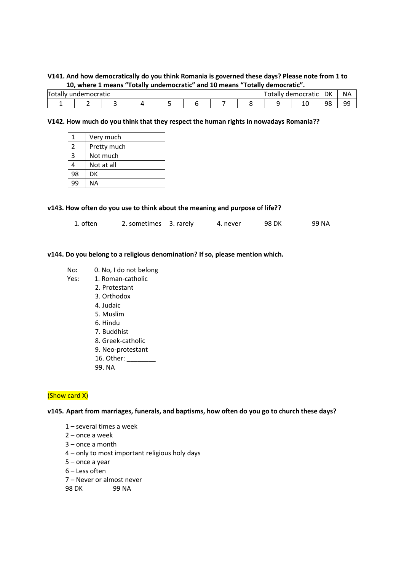### **V141. And how democratically do you think Romania is governed these days? Please note from 1 to 10, where 1 means "Totally undemocratic" and 10 means "Totally democratic".**

| Total. | undemocratic |  |  |  | uer<br>. Jidliy | $.100C$ rat<br>ratic | DK      | <b>NA</b> |
|--------|--------------|--|--|--|-----------------|----------------------|---------|-----------|
|        |              |  |  |  |                 | ᅩ                    | 98<br>J | QQ<br>--  |

#### **V142. How much do you think that they respect the human rights in nowadays Romania??**

| 1  | Very much   |
|----|-------------|
| 2  | Pretty much |
| 3  | Not much    |
| 4  | Not at all  |
| 98 | DK          |
| ٩q | ΝA          |

|  |  | v143. How often do you use to think about the meaning and purpose of life?? |  |  |  |  |
|--|--|-----------------------------------------------------------------------------|--|--|--|--|
|  |  |                                                                             |  |  |  |  |

| 1. often | 2. sometimes 3. rarely |  | 4. never | 98 DK | 99 NA |  |
|----------|------------------------|--|----------|-------|-------|--|
|----------|------------------------|--|----------|-------|-------|--|

#### **v144. Do you belong to a religious denomination? If so, please mention which.**

- No**:** 0. No, I do not belong
- Yes: 1. Roman-catholic
	- 2. Protestant
	- 3. Orthodox
	- 4. Judaic
	- 5. Muslim
	- 6. Hindu
	- 7. Buddhist
	- 8. Greek-catholic
	- 9. Neo-protestant
	- 16. Other: \_\_\_\_\_\_\_\_
	- 99. NA

### (Show card X)

#### **v145. Apart from marriages, funerals, and baptisms, how often do you go to church these days?**

- 1 several times a week
- 2 once a week
- 3 once a month
- 4 only to most important religious holy days
- 5 once a year
- 6 Less often
- 7 Never or almost never
- 98 DK 99 NA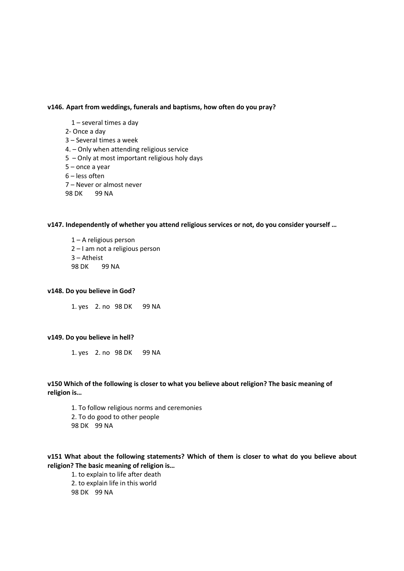#### **v146. Apart from weddings, funerals and baptisms, how often do you pray?**

- 1 several times a day
- 2- Once a day
- 3 Several times a week
- 4. Only when attending religious service
- 5 Only at most important religious holy days
- 5 once a year
- 6 less often
- 7 Never or almost never
- 98 DK 99 NA

#### **v147. Independently of whether you attend religious services or not, do you consider yourself …**

 – A religious person – I am not a religious person – Atheist 98 DK 99 NA

#### **v148. Do you believe in God?**

1. yes 2. no 98 DK 99 NA

#### **v149. Do you believe in hell?**

1. yes 2. no 98 DK 99 NA

**v150 Which of the following is closer to what you believe about religion? The basic meaning of religion is…**

1. To follow religious norms and ceremonies 2. To do good to other people 98 DK 99 NA

**v151 What about the following statements? Which of them is closer to what do you believe about religion? The basic meaning of religion is…**

1. to explain to life after death 2. to explain life in this world 98 DK 99 NA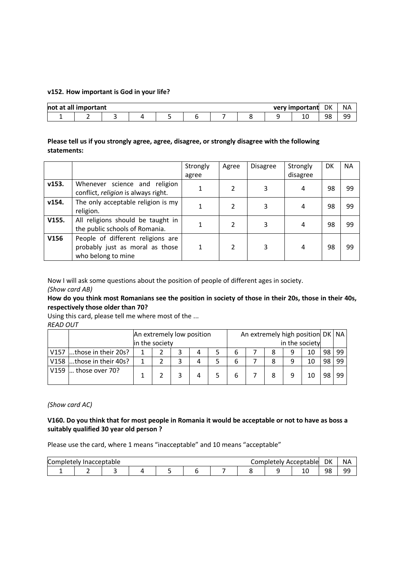#### **v152. How important is God in your life?**

| <b>not</b><br>dll<br>al | important |  |  |  | very important | DK | <b>NA</b>        |
|-------------------------|-----------|--|--|--|----------------|----|------------------|
|                         | -         |  |  |  | ᅭ              | 98 | ٩Q<br><u>ے ب</u> |

### **Please tell us if you strongly agree, agree, disagree, or strongly disagree with the following statements:**

|       |                                                                                            | Strongly | Agree | <b>Disagree</b> | Strongly | DK | <b>NA</b> |
|-------|--------------------------------------------------------------------------------------------|----------|-------|-----------------|----------|----|-----------|
|       |                                                                                            | agree    |       |                 | disagree |    |           |
| v153. | Whenever science and religion<br>conflict, religion is always right.                       |          | 2     | 3               | 4        | 98 | 99        |
| v154. | The only acceptable religion is my<br>religion.                                            |          | 2     | 3               | 4        | 98 | 99        |
| V155. | All religions should be taught in<br>the public schools of Romania.                        |          | 2     | 3               | 4        | 98 | 99        |
| V156  | People of different religions are<br>probably just as moral as those<br>who belong to mine |          | 2     | 3               | 4        | 98 | 99        |

Now I will ask some questions about the position of people of different ages in society.

*(Show card AB)*

**How do you think most Romanians see the position in society of those in their 20s, those in their 40s, respectively those older than 70?**

Using this card, please tell me where most of the ...

*READ OUT*

|      |                          | An extremely low position |                |  |   |  | An extremely high position DK   NA |  |   |   |    |    |    |
|------|--------------------------|---------------------------|----------------|--|---|--|------------------------------------|--|---|---|----|----|----|
|      |                          |                           | in the society |  |   |  | in the society                     |  |   |   |    |    |    |
| V157 | those in their 20s?      |                           |                |  | 4 |  |                                    |  |   | 9 | 10 | 98 | 99 |
|      | V158 those in their 40s? |                           |                |  | 4 |  |                                    |  | 8 | a | 10 | 98 | 99 |
| V159 | those over 70?           |                           |                |  | 4 |  |                                    |  | 8 | a | 10 | 98 | 99 |

*(Show card AC)*

### **V160. Do you think that for most people in Romania it would be acceptable or not to have as boss a suitably qualified 30 year old person ?**

Please use the card, where 1 means "inacceptable" and 10 means "acceptable"

| ∽<br>Comr' | ı⇔ıv<br> | eptable?" |  |  | $\sim$ $\sim$ $\sim$ $\sim$ | ACC.<br>∣ ⊶iv | eptable : | DK           | <b>NA</b> |
|------------|----------|-----------|--|--|-----------------------------|---------------|-----------|--------------|-----------|
|            |          |           |  |  |                             |               | ᅩ         | 98<br>.<br>╯ | QQ<br>--  |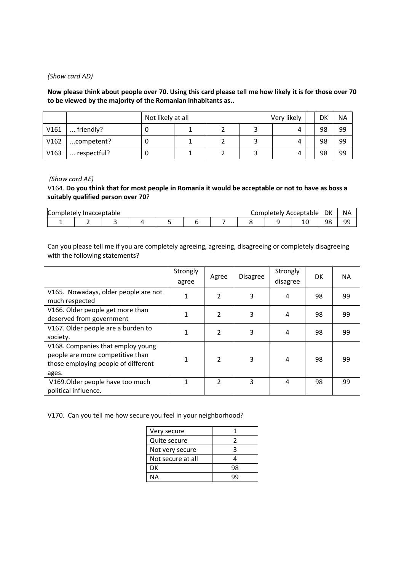#### *(Show card AD)*

**Now please think about people over 70. Using this card please tell me how likely it is for those over 70 to be viewed by the majority of the Romanian inhabitants as..**

|      |             | Not likely at all |  | Very likely | DK | <b>NA</b> |
|------|-------------|-------------------|--|-------------|----|-----------|
| V161 | friendly?   |                   |  |             | 98 | 99        |
| V162 | competent?  |                   |  |             | 98 | 99        |
| V163 | respectful? |                   |  |             | 98 | 99        |

#### *(Show card AE)*

V164. **Do you think that for most people in Romania it would be acceptable or not to have as boss a suitably qualified person over 70**?

| Co.<br>`∩mr | ptable<br>$\sim$<br>۰elv<br>माता<br>. |  |  |  |  | $ -$ | ACC<br>гем<br>DІE | cceptable | DK | <b>NA</b> |          |
|-------------|---------------------------------------|--|--|--|--|------|-------------------|-----------|----|-----------|----------|
|             |                                       |  |  |  |  |      |                   |           | ᅭ  | 98        | ۵Q<br>-- |

Can you please tell me if you are completely agreeing, agreeing, disagreeing or completely disagreeing with the following statements?

|                                                                                                                       | Strongly<br>agree | Agree          | <b>Disagree</b> | Strongly<br>disagree | DK | <b>NA</b> |
|-----------------------------------------------------------------------------------------------------------------------|-------------------|----------------|-----------------|----------------------|----|-----------|
| V165. Nowadays, older people are not<br>much respected                                                                |                   | 2              | 3               | 4                    | 98 | 99        |
| V166. Older people get more than<br>deserved from government                                                          |                   | $\overline{2}$ | 3               | 4                    | 98 | 99        |
| V167. Older people are a burden to<br>society.                                                                        |                   | 2              | 3               | 4                    | 98 | 99        |
| V168. Companies that employ young<br>people are more competitive than<br>those employing people of different<br>ages. |                   | 2              | 3               | 4                    | 98 | 99        |
| V169. Older people have too much<br>political influence.                                                              |                   | 2              | 3               | 4                    | 98 | 99        |

V170. Can you tell me how secure you feel in your neighborhood?

| Very secure       |    |
|-------------------|----|
| Quite secure      |    |
| Not very secure   |    |
| Not secure at all |    |
| DK                | qg |
| NΔ                |    |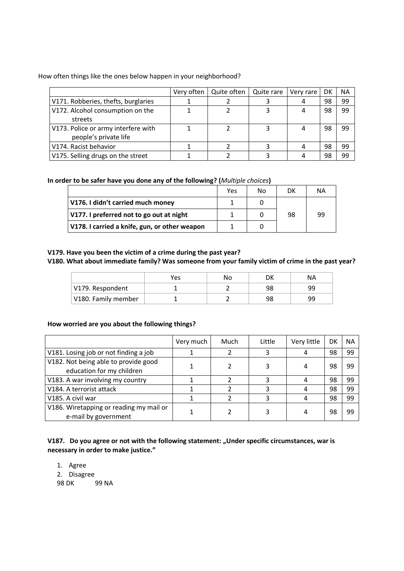How often things like the ones below happen in your neighborhood?

|                                                              | Very often | Quite often | Quite rare | Very rare | DK | <b>NA</b> |
|--------------------------------------------------------------|------------|-------------|------------|-----------|----|-----------|
| V171. Robberies, thefts, burglaries                          |            |             |            |           | 98 | 99        |
| V172. Alcohol consumption on the<br>streets                  |            |             |            |           | 98 | 99        |
| V173. Police or army interfere with<br>people's private life |            |             |            |           | 98 | 99        |
| V174. Racist behavior                                        |            |             |            |           | 98 | 99        |
| V175. Selling drugs on the street                            |            |             |            |           | 98 | 99        |

**In order to be safer have you done any of the following? (***Multiple choices***)**

|                                               | Yes | N٥ | DK | NА |
|-----------------------------------------------|-----|----|----|----|
| V176. I didn't carried much money             |     |    |    |    |
| V177. I preferred not to go out at night      |     |    | 98 | 99 |
| V178. I carried a knife, gun, or other weapon |     |    |    |    |

### **V179. Have you been the victim of a crime during the past year?**

### **V180. What about immediate family? Was someone from your family victim of crime in the past year?**

|                     | Yes | Nο | DK | ΝA |
|---------------------|-----|----|----|----|
| V179. Respondent    |     |    | 98 | 99 |
| V180. Family member |     |    | 98 | 99 |

### **How worried are you about the following things?**

|                                                                   | Very much | Much | Little | Very little | DK | <b>NA</b> |
|-------------------------------------------------------------------|-----------|------|--------|-------------|----|-----------|
| V181. Losing job or not finding a job                             |           |      |        |             | 98 | 99        |
| V182. Not being able to provide good<br>education for my children |           |      |        |             | 98 | 99        |
| V183. A war involving my country                                  |           |      |        |             | 98 | 99        |
| V184. A terrorist attack                                          |           |      |        |             | 98 | 99        |
| V185. A civil war                                                 |           |      |        |             | 98 | 99        |
| V186. Wiretapping or reading my mail or<br>e-mail by government   |           |      |        |             | 98 | 99        |

V187. Do you agree or not with the following statement: "Under specific circumstances, war is **necessary in order to make justice."**

1. Agree 2. Disagree 98 DK 99 NA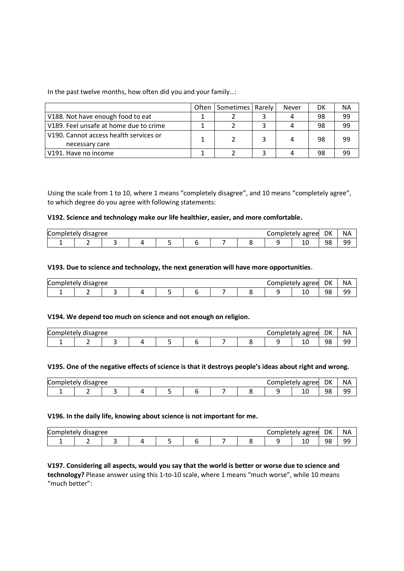In the past twelve months, how often did you and your family…:

|                                        | <b>Often</b> | Sometimes   Rarely | Never | DK | ΝA |
|----------------------------------------|--------------|--------------------|-------|----|----|
| V188. Not have enough food to eat      |              |                    |       | 98 | 99 |
| V189. Feel unsafe at home due to crime |              |                    |       | 98 | 99 |
| V190. Cannot access health services or |              |                    |       | 98 | 99 |
| necessary care                         |              |                    |       |    |    |
| V191. Have no income                   |              |                    |       | 98 | 99 |

Using the scale from 1 to 10, where 1 means "completely disagree", and 10 means "completely agree", to which degree do you agree with following statements:

#### **V192. Science and technology make our life healthier, easier, and more comfortable.**

| DK<br><b>NA</b><br>Comp<br>Completely<br>disagree<br>agree<br>`Alν<br>mete.<br>0 |  |  |  |  |  |  |  |  |   |         |          |
|----------------------------------------------------------------------------------|--|--|--|--|--|--|--|--|---|---------|----------|
|                                                                                  |  |  |  |  |  |  |  |  | ᅩ | 98<br>J | QQ<br>-- |

#### **V193. Due to science and technology, the next generation will have more opportunities.**

| DK<br><b>NA</b><br>∽<br>Comp'<br>disagree<br>completely<br>agree<br>letelv |  |  |  |  |  |  |  |  |   |              |          |
|----------------------------------------------------------------------------|--|--|--|--|--|--|--|--|---|--------------|----------|
|                                                                            |  |  |  |  |  |  |  |  | ᆚ | 98<br>.<br>J | QQ<br>-- |

#### **V194. We depend too much on science and not enough on religion.**

| DK<br>∽<br>Comp'<br>completely<br>agree<br>disagree<br>ately : |  |  |  |  |  |  |  |  | <b>NA</b> |                |          |
|----------------------------------------------------------------|--|--|--|--|--|--|--|--|-----------|----------------|----------|
|                                                                |  |  |  |  |  |  |  |  | ᆚ         | 98<br>, J<br>J | QQ<br>-- |

#### **V195. One of the negative effects of science is that it destroys people's ideas about right and wrong.**

| ∽<br>`∩mr | ກr∆∆ |  |  |  | .<br>ົ⊢⊢<br>. . | DK      | <b>NA</b> |
|-----------|------|--|--|--|-----------------|---------|-----------|
|           |      |  |  |  | TÛ              | 98<br>◡ | QQ<br>--  |

#### **V196. In the daily life, knowing about science is not important for me.**

| DK<br><b>NA</b><br>$\sqrt{ }$<br>$\sim$ $\sim$ $\sim$<br>----<br>ਾree<br>Ή<br>'''<br>ີ |   |  |  |  |  |  |  |  |   |    |          |
|----------------------------------------------------------------------------------------|---|--|--|--|--|--|--|--|---|----|----------|
|                                                                                        | - |  |  |  |  |  |  |  | ᅩ | 98 | ۹q<br>-- |

#### **V197. Considering all aspects, would you say that the world is better or worse due to science and technology?** Please answer using this 1-to-10 scale, where 1 means "much worse", while 10 means "much better":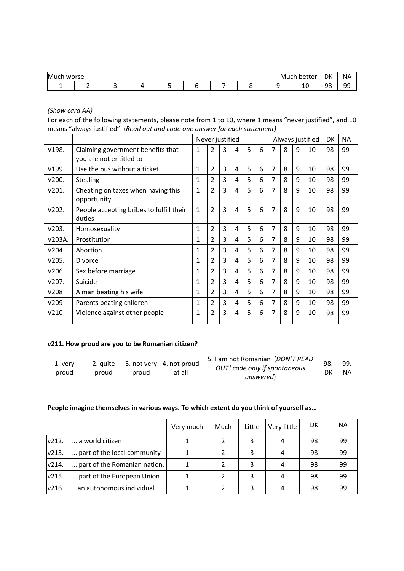| Much | $\mathbf{r}$<br>wuise |  |  |  | м | DK<br><b>NA</b><br>$\cdots$ |    |                |
|------|-----------------------|--|--|--|---|-----------------------------|----|----------------|
|      | -                     |  |  |  |   | ᅩ                           | 98 | $\alpha$<br>-- |

*(Show card AA)*

For each of the following statements, please note from 1 to 10, where 1 means "never justified", and 10 means "always justified". (*Read out and code one answer for each statement)*

|                  |                                                              |   | Never justified |   |   |   |   |   |   |   | Always justified | <b>DK</b> | <b>NA</b> |
|------------------|--------------------------------------------------------------|---|-----------------|---|---|---|---|---|---|---|------------------|-----------|-----------|
| V198.            | Claiming government benefits that<br>you are not entitled to | 1 | 2               | 3 | 4 | 5 | 6 | 7 | 8 | 9 | 10               | 98        | 99        |
| V199.            | Use the bus without a ticket                                 | 1 | 2               | 3 | 4 | 5 | 6 | 7 | 8 | 9 | 10               | 98        | 99        |
| V200.            | <b>Stealing</b>                                              | 1 | 2               | 3 | 4 | 5 | 6 | 7 | 8 | 9 | 10               | 98        | 99        |
| V201.            | Cheating on taxes when having this<br>opportunity            | 1 | $\overline{2}$  | 3 | 4 | 5 | 6 | 7 | 8 | 9 | 10               | 98        | 99        |
| V202.            | People accepting bribes to fulfill their<br>duties           | 1 | $\overline{2}$  | 3 | 4 | 5 | 6 | 7 | 8 | 9 | 10               | 98        | 99        |
| V203.            | Homosexuality                                                | 1 | $\overline{2}$  | 3 | 4 | 5 | 6 | 7 | 8 | 9 | 10               | 98        | 99        |
| V203A.           | Prostitution                                                 | 1 | 2               | 3 | 4 | 5 | 6 | 7 | 8 | 9 | 10               | 98        | 99        |
| V204.            | Abortion                                                     | 1 | 2               | 3 | 4 | 5 | 6 | 7 | 8 | 9 | 10               | 98        | 99        |
| V205.            | <b>Divorce</b>                                               | 1 | 2               | 3 | 4 | 5 | 6 | 7 | 8 | 9 | 10               | 98        | 99        |
| V206.            | Sex before marriage                                          | 1 | 2               | 3 | 4 | 5 | 6 | 7 | 8 | 9 | 10               | 98        | 99        |
| V207.            | Suicide                                                      | 1 | $\overline{2}$  | 3 | 4 | 5 | 6 | 7 | 8 | 9 | 10               | 98        | 99        |
| V208             | A man beating his wife                                       | 1 | $\overline{2}$  | 3 | 4 | 5 | 6 | 7 | 8 | 9 | 10               | 98        | 99        |
| V <sub>209</sub> | Parents beating children                                     | 1 | 2               | 3 | 4 | 5 | 6 | 7 | 8 | 9 | 10               | 98        | 99        |
| V <sub>210</sub> | Violence against other people                                | 1 | 2               | 3 | 4 | 5 | 6 | 7 | 8 | 9 | 10               | 98        | 99        |

### **v211. How proud are you to be Romanian citizen?**

| 1. verv |       |       | 2. quite 3. not very 4. not proud | 5. I am not Romanian (DON'T READ<br>OUT! code only if spontaneous | 98. | 99.       |
|---------|-------|-------|-----------------------------------|-------------------------------------------------------------------|-----|-----------|
| proud   | proud | proud | at all                            | answered)                                                         | DK  | <b>NA</b> |

### **People imagine themselves in various ways. To which extent do you think of yourself as…**

|                  |                              | Very much | Much | Little | Very little | DK | NА |
|------------------|------------------------------|-----------|------|--------|-------------|----|----|
| V <sub>212</sub> | a world citizen              |           |      | 3      | 4           | 98 | 99 |
| V213.            | part of the local community  |           |      |        |             | 98 | 99 |
| V214.            | part of the Romanian nation. |           |      | 3      |             | 98 | 99 |
| V215.            | part of the European Union.  |           |      | 3      |             | 98 | 99 |
| V <sub>216</sub> | an autonomous individual.    |           |      |        |             | 98 | 99 |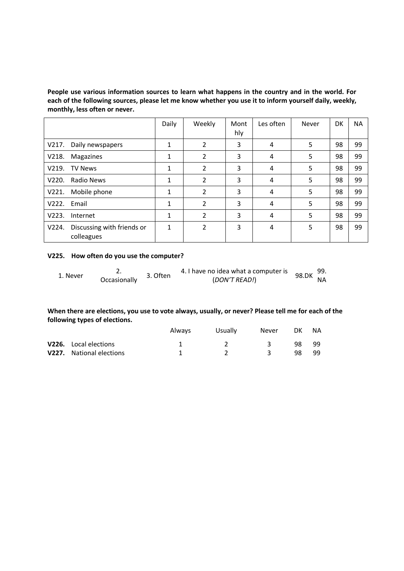**People use various information sources to learn what happens in the country and in the world. For each of the following sources, please let me know whether you use it to inform yourself daily, weekly, monthly, less often or never.**

|                  |                                          | Daily | Weekly         | Mont<br>hly | Les often | Never | DK | <b>NA</b> |
|------------------|------------------------------------------|-------|----------------|-------------|-----------|-------|----|-----------|
| V217.            | Daily newspapers                         | 1     | 2              | 3           | 4         | 5     | 98 | 99        |
| V218.            | Magazines                                | 1     | 2              | 3           | 4         | 5     | 98 | 99        |
| V219.            | <b>TV News</b>                           | 1     | 2              | 3           | 4         | 5     | 98 | 99        |
| V <sub>220</sub> | Radio News                               | 1     | 2              | 3           | 4         | 5.    | 98 | 99        |
| V221.            | Mobile phone                             | 1     | 2              | 3           | 4         | 5     | 98 | 99        |
| V222.            | Email                                    | 1     | 2              | 3           | 4         | 5     | 98 | 99        |
| V223.            | Internet                                 | 1     | $\overline{2}$ | 3           | 4         | 5     | 98 | 99        |
| V224.            | Discussing with friends or<br>colleagues | 1     | 2              | 3           | 4         | 5     | 98 | 99        |

### **V225. How often do you use the computer?**

| 1. Never | . ـ          | 3. Often | 4. I have no idea what a computer is | 98.DK $^{99.}$ |  |
|----------|--------------|----------|--------------------------------------|----------------|--|
|          | Occasionally |          | (DON'T READ!)                        | <b>NA</b>      |  |

### **When there are elections, you use to vote always, usually, or never? Please tell me for each of the following types of elections.**

|                              | Always | Usually | Never | DK. | <b>NA</b> |  |
|------------------------------|--------|---------|-------|-----|-----------|--|
| <b>V226.</b> Local elections |        |         |       | 98. | -99       |  |
| V227. National elections     |        |         |       | 98. | gg        |  |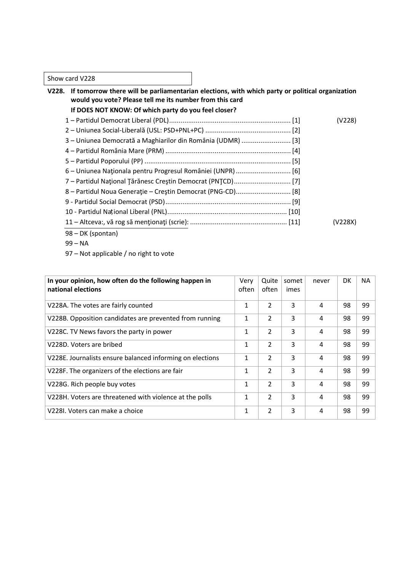### Show card V228

| If tomorrow there will be parliamentarian elections, with which party or political organization<br>V228.<br>would you vote? Please tell me its number from this card |         |
|----------------------------------------------------------------------------------------------------------------------------------------------------------------------|---------|
| If DOES NOT KNOW: Of which party do you feel closer?                                                                                                                 |         |
|                                                                                                                                                                      | (V228)  |
|                                                                                                                                                                      |         |
| 3 - Uniunea Democrată a Maghiarilor din România (UDMR)  [3]                                                                                                          |         |
|                                                                                                                                                                      |         |
|                                                                                                                                                                      |         |
|                                                                                                                                                                      |         |
|                                                                                                                                                                      |         |
|                                                                                                                                                                      |         |
|                                                                                                                                                                      |         |
|                                                                                                                                                                      |         |
|                                                                                                                                                                      | (V228X) |
| 98 - DK (spontan)                                                                                                                                                    |         |

- 99 NA
- 97 Not applicable / no right to vote

| In your opinion, how often do the following happen in<br>national elections | Very<br>often | Quite<br>often | somet<br>imes | never | DK | NA. |
|-----------------------------------------------------------------------------|---------------|----------------|---------------|-------|----|-----|
| V228A. The votes are fairly counted                                         | 1             | $\overline{2}$ | 3             | 4     | 98 | 99  |
| V228B. Opposition candidates are prevented from running                     | $\mathbf{1}$  | $\overline{2}$ | 3             | 4     | 98 | 99  |
| V228C. TV News favors the party in power                                    | 1             | $\overline{2}$ | 3             | 4     | 98 | 99  |
| V228D. Voters are bribed                                                    | 1             | 2              | 3             | 4     | 98 | 99  |
| V228E. Journalists ensure balanced informing on elections                   | 1             | 2              | 3             | 4     | 98 | 99  |
| V228F. The organizers of the elections are fair                             | 1             | 2              | 3             | 4     | 98 | 99  |
| V228G. Rich people buy votes                                                | 1             | $\overline{2}$ | 3             | 4     | 98 | 99  |
| V228H. Voters are threatened with violence at the polls                     | 1             | 2              | 3             | 4     | 98 | 99  |
| V228I. Voters can make a choice                                             | 1             | 2              | 3             | 4     | 98 | 99  |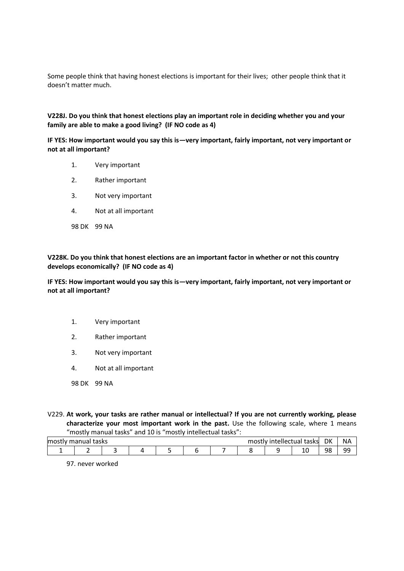Some people think that having honest elections is important for their lives; other people think that it doesn't matter much.

**V228J. Do you think that honest elections play an important role in deciding whether you and your family are able to make a good living? (IF NO code as 4)**

**IF YES: How important would you say this is—very important, fairly important, not very important or not at all important?**

- 1. Very important
- 2. Rather important
- 3. Not very important
- 4. Not at all important
- 98 DK 99 NA

**V228K. Do you think that honest elections are an important factor in whether or not this country develops economically? (IF NO code as 4)**

**IF YES: How important would you say this is—very important, fairly important, not very important or not at all important?**

- 1. Very important
- 2. Rather important
- 3. Not very important
- 4. Not at all important
- 98 DK 99 NA
- V229. **At work, your tasks are rather manual or intellectual? If you are not currently working, please characterize your most important work in the past.** Use the following scale, where 1 means "mostly manual tasks" and 10 is "mostly intellectual tasks":

| mosi<br>$+20$<br>$-$<br>כמכו<br>.<br>. |  |  |  |  |  |  |  | DK<br>. تص<br>- חכי |   |    |             |
|----------------------------------------|--|--|--|--|--|--|--|---------------------|---|----|-------------|
|                                        |  |  |  |  |  |  |  |                     | ∸ | 98 | ۵Q<br>- - - |

97. never worked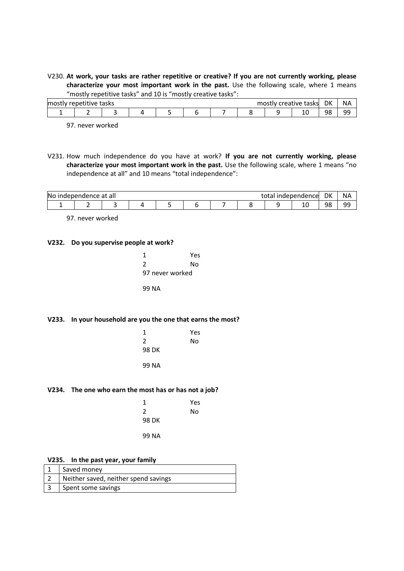V230. **At work, your tasks are rather repetitive or creative? If you are not currently working, please characterize your most important work in the past.** Use the following scale, where 1 means "mostly repetitive tasks" and 10 is "mostly creative tasks":

| DK<br>mos <sup>-</sup><br>tasks<br>tasksl<br>lmost<br>nefitive<br>'eauve |  |  |  |  |  |  |  | <b>NA</b> |    |         |          |
|--------------------------------------------------------------------------|--|--|--|--|--|--|--|-----------|----|---------|----------|
|                                                                          |  |  |  |  |  |  |  |           | ⊥∪ | 98<br>ー | ۵a<br>-- |

97. never worked

V231. How much independence do you have at work? **If you are not currently working, please characterize your most important work in the past.** Use the following scale, where 1 means "no independence at all" and 10 means "total independence":

| DK<br>No<br><b>NA</b><br>ce at all<br>lencel<br>$\sim$<br>aenner.<br>wendence .<br>( ا⊌ |  |  |  |  |  |  |  |  |    |          |          |
|-----------------------------------------------------------------------------------------|--|--|--|--|--|--|--|--|----|----------|----------|
|                                                                                         |  |  |  |  |  |  |  |  | ⊥∪ | 98<br>JU | ۵Q<br>-- |

97. never worked

#### **V232. Do you supervise people at work?**

| 1               | Yes |  |
|-----------------|-----|--|
| 2               | N٥  |  |
| 97 never worked |     |  |
| 99 NA           |     |  |

#### **V233. In your household are you the one that earns the most?**

| 1     | Yes |
|-------|-----|
| 2     | No  |
| 98 DK |     |
|       |     |
| 99 NA |     |

### **V234. The one who earn the most has or has not a job?**

| 1     | Yes |
|-------|-----|
| 2     | No  |
| 98 DK |     |
| 99 NA |     |

### **V235. In the past year, your family**

| Saved money                          |
|--------------------------------------|
| Neither saved, neither spend savings |
| Spent some savings                   |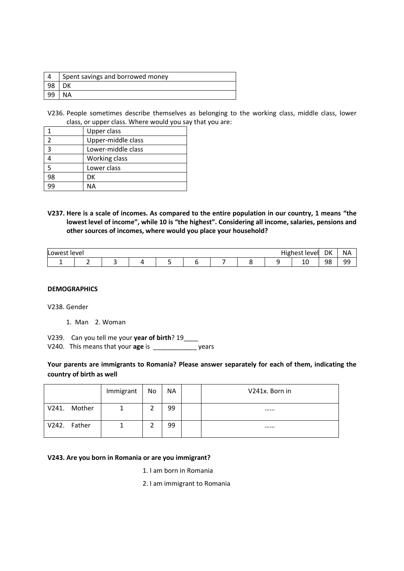| Spent savings and borrowed money |
|----------------------------------|
|                                  |
|                                  |

V236. People sometimes describe themselves as belonging to the working class, middle class, lower class, or upper class. Where would you say that you are:

|                | Upper class        |
|----------------|--------------------|
|                | Upper-middle class |
| $\overline{3}$ | Lower-middle class |
|                | Working class      |
| 5              | Lower class        |
| 98             | DK                 |
| ١q             | ΝA                 |

**V237. Here is a scale of incomes. As compared to the entire population in our country, 1 means "the lowest level of income", while 10 is "the highest". Considering all income, salaries, pensions and other sources of incomes, where would you place your household?**

| Lower <sup>-</sup><br>level<br>vell |  |  |  |  |  |                          | DK | <b>NA</b> |        |          |          |
|-------------------------------------|--|--|--|--|--|--------------------------|----|-----------|--------|----------|----------|
|                                     |  |  |  |  |  | $\overline{\phantom{0}}$ |    |           | -<br>ᅭ | 98<br>JU | ۹Q<br>-- |

# **DEMOGRAPHICS**

V238. Gender

1. Man 2. Woman

V239. Can you tell me your **year of birth**? 19\_\_\_\_

V240. This means that your **age** is\_\_\_\_\_\_\_\_\_\_\_\_ years

### **Your parents are immigrants to Romania? Please answer separately for each of them, indicating the country of birth as well**

|              |        | Immigrant | No | <b>NA</b> | V241x. Born in |
|--------------|--------|-----------|----|-----------|----------------|
| V241.        | Mother |           |    | 99        |                |
| V242. Father |        |           |    | 99        |                |

### **V243. Are you born in Romania or are you immigrant?**

1. I am born in Romania

2. I am immigrant to Romania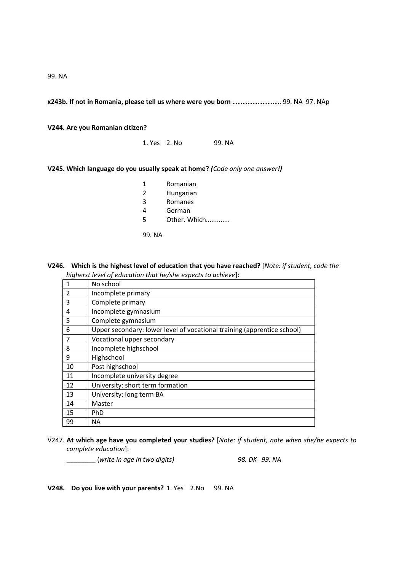99. NA

**x243b. If not in Romania, please tell us where were you born** …………………….…. 99. NA 97. NAp

**V244. Are you Romanian citizen?**

1. Yes 2. No 99. NA

**V245. Which language do you usually speak at home?** *(Code only one answer!)*

| 1      | Romanian     |
|--------|--------------|
| 2      | Hungarian    |
| 3      | Romanes      |
| 4      | German       |
| 5      | Other. Which |
| 99. NA |              |

**V246. Which is the highest level of education that you have reached?** [*Note: if student, code the higherst level of education that he/she expects to achieve*]:

| 1              | No school                                                               |
|----------------|-------------------------------------------------------------------------|
| $\overline{2}$ | Incomplete primary                                                      |
| $\overline{3}$ | Complete primary                                                        |
| $\overline{a}$ | Incomplete gymnasium                                                    |
| 5              | Complete gymnasium                                                      |
| 6              | Upper secondary: lower level of vocational training (apprentice school) |
| $\overline{7}$ | Vocational upper secondary                                              |
| 8              | Incomplete highschool                                                   |
| 9              | Highschool                                                              |
| 10             | Post highschool                                                         |
| 11             | Incomplete university degree                                            |
| 12             | University: short term formation                                        |
| 13             | University: long term BA                                                |
| 14             | Master                                                                  |
| 15             | PhD                                                                     |
| 99             | <b>NA</b>                                                               |

V247. **At which age have you completed your studies?** [*Note: if student, note when she/he expects to complete education*]:

\_\_\_\_\_\_\_\_ (*write in age in two digits) 98. DK 99. NA*

**V248. Do you live with your parents?** 1. Yes 2.No 99. NA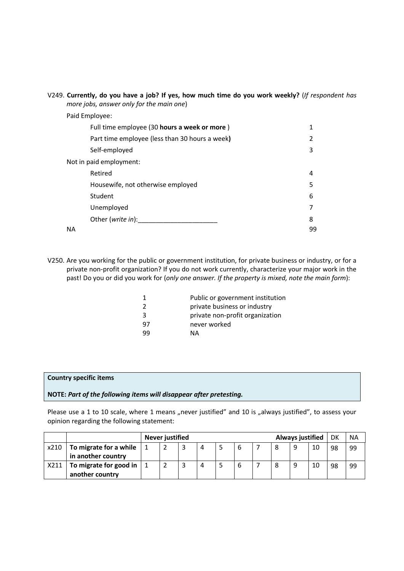### V249. **Currently, do you have a job? If yes, how much time do you work weekly?** (*If respondent has more jobs, answer only for the main one*)

Paid Employee:

|    | Full time employee (30 hours a week or more)   | 1  |
|----|------------------------------------------------|----|
|    | Part time employee (less than 30 hours a week) | 2  |
|    | Self-employed                                  | 3  |
|    | Not in paid employment:                        |    |
|    | Retired                                        | 4  |
|    | Housewife, not otherwise employed              | 5  |
|    | Student                                        | 6  |
|    | Unemployed                                     | 7  |
|    | Other (write in):                              | 8  |
| ΝA |                                                | 99 |

V250. Are you working for the public or government institution, for private business or industry, or for a private non-profit organization? If you do not work currently, characterize your major work in the past! Do you or did you work for (*only one answer. If the property is mixed, note the main form*):

|    | Public or government institution |
|----|----------------------------------|
| 2  | private business or industry     |
| 3  | private non-profit organization  |
| 97 | never worked                     |
| 99 | NА                               |

#### **Country specific items**

#### **NOTE:** *Part of the following items will disappear after pretesting.*

Please use a 1 to 10 scale, where 1 means "never justified" and 10 is "always justified", to assess your opinion regarding the following statement:

|      |                        | <b>Never justified</b> |   |   |             |   | Always justified |    | DK | <b>NA</b> |
|------|------------------------|------------------------|---|---|-------------|---|------------------|----|----|-----------|
| x210 | To migrate for a while |                        | 4 | כ | $\mathbf b$ | 8 | 9                | 10 | 98 | 99        |
|      | in another country     |                        |   |   |             |   |                  |    |    |           |
| X211 | To migrate for good in |                        | 4 |   | b           | 8 | 9                | 10 | 98 | 99        |
|      | another country        |                        |   |   |             |   |                  |    |    |           |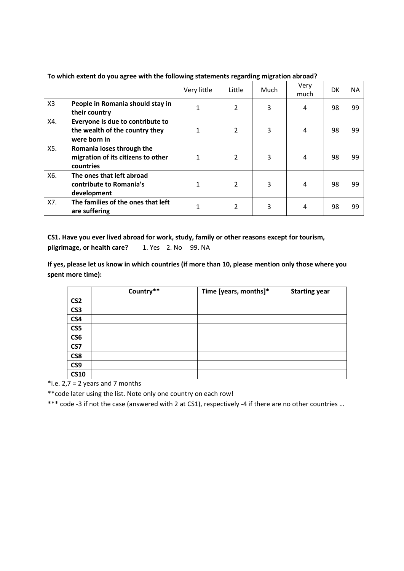|                |                                                                                    | Very little | Little         | Much | Very<br>much | DK | <b>NA</b> |
|----------------|------------------------------------------------------------------------------------|-------------|----------------|------|--------------|----|-----------|
| X <sub>3</sub> | People in Romania should stay in<br>their country                                  |             | 2              | 3    | 4            | 98 | 99        |
| X4.            | Everyone is due to contribute to<br>the wealth of the country they<br>were born in |             | 2              | 3    | 4            | 98 | 99        |
| X5.            | Romania loses through the<br>migration of its citizens to other<br>countries       |             | $\overline{2}$ | 3    | 4            | 98 | 99        |
| X6.            | The ones that left abroad<br>contribute to Romania's<br>development                |             | $\overline{2}$ | 3    | 4            | 98 | 99        |
| X7.            | The families of the ones that left<br>are suffering                                |             | 2              | 3    | 4            | 98 | 99        |

**To which extent do you agree with the following statements regarding migration abroad?**

**CS1. Have you ever lived abroad for work, study, family or other reasons except for tourism,** pilgrimage, or health care? 1. Yes 2. No 99. NA

**If yes, please let us know in which countries (if more than 10, please mention only those where you spent more time):**

|                 | Country** | Time [years, months]* | <b>Starting year</b> |
|-----------------|-----------|-----------------------|----------------------|
| CS <sub>2</sub> |           |                       |                      |
| CS <sub>3</sub> |           |                       |                      |
| CS4             |           |                       |                      |
| CS5             |           |                       |                      |
| CS6             |           |                       |                      |
| CS7             |           |                       |                      |
| CS8             |           |                       |                      |
| CS9             |           |                       |                      |
| <b>CS10</b>     |           |                       |                      |

\*i.e.  $2,7 = 2$  years and 7 months

\*\*code later using the list. Note only one country on each row!

\*\*\* code -3 if not the case (answered with 2 at CS1), respectively -4 if there are no other countries …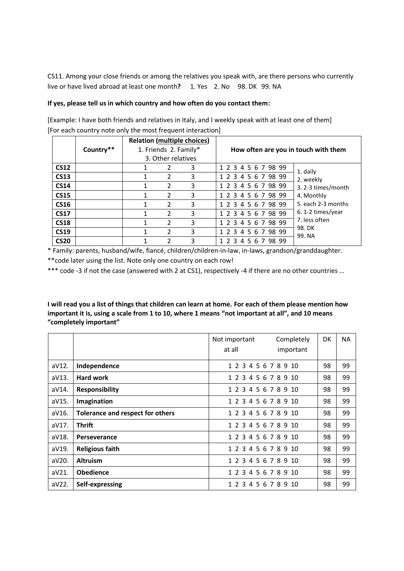CS11. Among your close friends or among the relatives you speak with, are there persons who currently live or have lived abroad at least one month**?** 1. Yes 2. No 98. DK 99. NA

#### **If yes, please tell us in which country and how often do you contact them:**

|             |           |                       | <b>Relation (multiple choices)</b> | How often are you in touch with them |                    |  |  |  |
|-------------|-----------|-----------------------|------------------------------------|--------------------------------------|--------------------|--|--|--|
|             | Country** | 1. Friends 2. Family* |                                    |                                      |                    |  |  |  |
|             |           | 3. Other relatives    |                                    |                                      |                    |  |  |  |
| <b>CS12</b> |           | 2                     | 3                                  | 1 2 3 4 5 6 7 98 99                  | 1. daily           |  |  |  |
| <b>CS13</b> |           | 2                     | 3                                  | 1 2 3 4 5 6 7 98 99                  | 2. weekly          |  |  |  |
| <b>CS14</b> |           | $\overline{2}$        | 3                                  | 1 2 3 4 5 6 7 98 99                  | 3.2-3 times/month  |  |  |  |
| <b>CS15</b> |           | 2                     | 3                                  | 1 2 3 4 5 6 7 98 99                  | 4. Monthly         |  |  |  |
| <b>CS16</b> |           | 2                     | 3                                  | 1 2 3 4 5 6 7 98 99                  | 5. each 2-3 months |  |  |  |
| <b>CS17</b> |           | 2                     | 3                                  | 1 2 3 4 5 6 7 98 99                  | 6.1-2 times/year   |  |  |  |
| <b>CS18</b> |           | $\overline{2}$        | 3                                  | 1 2 3 4 5 6 7 98 99                  | 7. less often      |  |  |  |
| <b>CS19</b> |           | 2                     | 3                                  | 1 2 3 4 5 6 7 98 99                  | 98. DK<br>99. NA   |  |  |  |
| <b>CS20</b> |           |                       | 3                                  | 1 2 3 4 5 6 7 98 99                  |                    |  |  |  |

[Example: I have both friends and relatives in Italy, and I weekly speak with at least one of them] [For each country note only the most frequent interaction]

\* Family: parents, husband/wife, fiancé, children/children-in-law, in-laws, grandson/granddaughter.

\*\*code later using the list. Note only one country on each row!

\*\*\* code -3 if not the case (answered with 2 at CS1), respectively -4 if there are no other countries …

**I will read you a list of things that children can learn at home. For each of them please mention how important it is, using a scale from 1 to 10, where 1 means "not important at all", and 10 means "completely important"**

|       |                                  | Not important<br>at all | Completely<br>important | DK | <b>NA</b> |
|-------|----------------------------------|-------------------------|-------------------------|----|-----------|
| aV12. | Independence                     | 1 2 3 4 5 6 7 8 9 10    |                         | 98 | 99        |
| aV13. | Hard work                        | 1 2 3 4 5 6 7 8 9 10    |                         | 98 | 99        |
| aV14. | <b>Responsibility</b>            | 1 2 3 4 5 6 7 8 9 10    |                         | 98 | 99        |
| aV15. | Imagination                      | 1 2 3 4 5 6 7 8 9 10    |                         | 98 | 99        |
| aV16. | Tolerance and respect for others | 1 2 3 4 5 6 7 8 9 10    |                         | 98 | 99        |
| aV17. | <b>Thrift</b>                    | 1 2 3 4 5 6 7 8 9 10    |                         | 98 | 99        |
| aV18. | Perseverance                     | 1 2 3 4 5 6 7 8 9 10    |                         | 98 | 99        |
| aV19. | <b>Religious faith</b>           | 1 2 3 4 5 6 7 8 9 10    |                         | 98 | 99        |
| aV20. | <b>Altruism</b>                  | 1 2 3 4 5 6 7 8 9 10    |                         | 98 | 99        |
| aV21. | <b>Obedience</b>                 | 1 2 3 4 5 6 7 8 9 10    |                         | 98 | 99        |
| aV22. | Self-expressing                  | 1 2 3 4 5 6 7 8 9       | -10                     | 98 | 99        |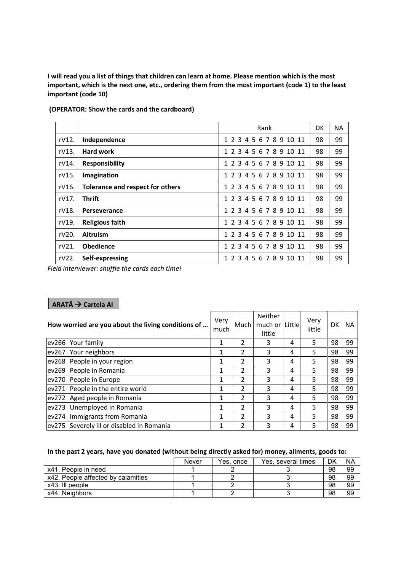**I will read you a list of things that children can learn at home. Please mention which is the most important, which is the next one, etc., ordering them from the most important (code 1) to the least important (code 10)**

|          |                                  | Rank                    | DK | ΝA |
|----------|----------------------------------|-------------------------|----|----|
| rV12.    | Independence                     | 1 2 3 4 5 6 7 8 9 10 11 | 98 | 99 |
| $rV13$ . | <b>Hard work</b>                 | 1 2 3 4 5 6 7 8 9 10 11 | 98 | 99 |
| rV14.    | <b>Responsibility</b>            | 1 2 3 4 5 6 7 8 9 10 11 | 98 | 99 |
| rV15.    | Imagination                      | 1 2 3 4 5 6 7 8 9 10 11 | 98 | 99 |
| rV16.    | Tolerance and respect for others | 1 2 3 4 5 6 7 8 9 10 11 | 98 | 99 |
| rV17.    | <b>Thrift</b>                    | 1 2 3 4 5 6 7 8 9 10 11 | 98 | 99 |
| rV18.    | Perseverance                     | 1 2 3 4 5 6 7 8 9 10 11 | 98 | 99 |
| rV19.    | <b>Religious faith</b>           | 1 2 3 4 5 6 7 8 9 10 11 | 98 | 99 |
| rV20.    | <b>Altruism</b>                  | 1 2 3 4 5 6 7 8 9 10 11 | 98 | 99 |
| rV21.    | <b>Obedience</b>                 | 1 2 3 4 5 6 7 8 9 10 11 | 98 | 99 |
| rV22.    | Self-expressing                  | 1 2 3 4 5 6 7 8 9 10 11 | 98 | 99 |

**(OPERATOR: Show the cards and the cardboard)**

*Field interviewer: shuffle the cards each time!*

# **ARATĂ Cartela AI**

|       | How worried are you about the living conditions of | Very<br>much | Much           | Neither<br>much or Little<br>little |   | Very<br>little | DK | NA. |
|-------|----------------------------------------------------|--------------|----------------|-------------------------------------|---|----------------|----|-----|
| ev266 | Your family                                        | 1            |                | 3                                   | 4 | 5              | 98 | 99  |
| ev267 | Your neighbors                                     | 1            | 2              | 3                                   | 4 | 5              | 98 | 99  |
| ev268 | People in your region                              | 1            | 2              | 3                                   | 4 | 5.             | 98 | 99  |
| ev269 | People in Romania                                  | 1            | $\overline{2}$ | 3                                   | 4 | 5              | 98 | 99  |
| ev270 | People in Europe                                   | 1            | 2              | 3                                   | 4 | 5              | 98 | 99  |
| ev271 | People in the entire world                         | 1            | 2              | 3                                   | 4 | 5              | 98 | 99  |
| ev272 | Aged people in Romania                             | 1            | $\overline{2}$ | 3                                   | 4 | 5.             | 98 | 99  |
| ev273 | Unemployed in Romania                              | 1            | 2              | 3                                   | 4 | 5.             | 98 | 99  |
| ev274 | Immigrants from Romania                            | 1            | $\overline{2}$ | 3                                   | 4 | 5.             | 98 | 99  |
|       | ev275 Severely ill or disabled in Romania          | 1            | $\overline{2}$ | 3                                   | 4 | 5.             | 98 | 99  |

### **In the past 2 years, have you donated (without being directly asked for) money, aliments, goods to:**

|                                    | Never | Yes, once | Yes, several times | DK | <b>NA</b> |
|------------------------------------|-------|-----------|--------------------|----|-----------|
| x41. People in need                |       |           |                    | 98 | 99        |
| x42. People affected by calamities |       |           |                    | 98 | 99        |
| x43. Ill people                    |       |           |                    | 98 | 99        |
| x44. Neighbors                     |       |           |                    | 98 | 99        |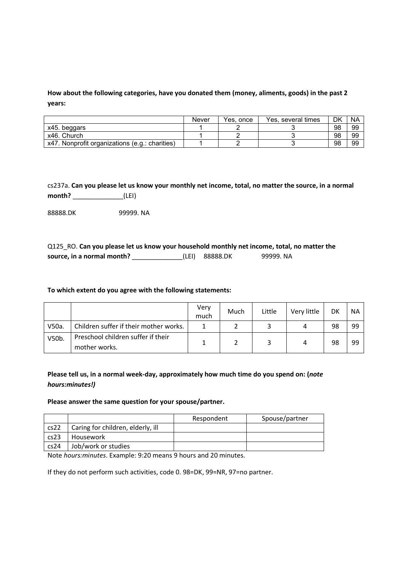**How about the following categories, have you donated them (money, aliments, goods) in the past 2 years:**

|                                                | Never | Yes, once | Yes, several times | DK | NA |
|------------------------------------------------|-------|-----------|--------------------|----|----|
| x45. beggars                                   |       |           |                    | 98 | 99 |
| x46. Church                                    |       |           |                    | 98 | 99 |
| x47. Nonprofit organizations (e.g.: charities) |       |           |                    | 98 | 99 |

cs237a. **Can you please let us know your monthly net income, total, no matter the source, in a normal month?** \_\_\_\_\_\_\_\_\_\_\_\_\_\_(LEI)

88888.DK 99999. NA

| Q125 RO. Can you please let us know your household monthly net income, total, no matter the |                |           |
|---------------------------------------------------------------------------------------------|----------------|-----------|
| source, in a normal month?                                                                  | (LEI) 88888.DK | 99999. NA |

#### **To which extent do you agree with the following statements:**

|       |                                                     | Very<br>much | Much | Little | Very little | DK | <b>NA</b> |
|-------|-----------------------------------------------------|--------------|------|--------|-------------|----|-----------|
| V50a. | Children suffer if their mother works.              |              |      |        | Δ           | 98 | 99        |
| V50b. | Preschool children suffer if their<br>mother works. |              |      |        | 4           | 98 | 99        |

**Please tell us, in a normal week-day, approximately how much time do you spend on: (***note hours:minutes!)*

#### **Please answer the same question for your spouse/partner.**

|      |                                   | Respondent | Spouse/partner |
|------|-----------------------------------|------------|----------------|
| cs22 | Caring for children, elderly, ill |            |                |
| cs23 | Housework                         |            |                |
| cs24 | Job/work or studies               |            |                |

Note *hours:minutes*. Example: 9:20 means 9 hours and 20 minutes.

If they do not perform such activities, code 0. 98=DK, 99=NR, 97=no partner.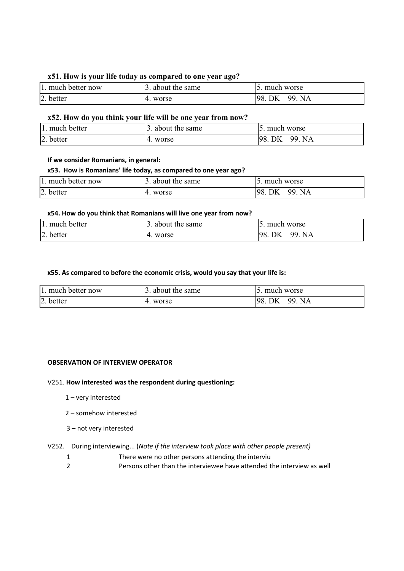### **x51. How is your life today as compared to one year ago?**

| 1. much better now | 3. about the same  | 15. much worse         |
|--------------------|--------------------|------------------------|
| 2. better          | worse<br>$^{14}$ . | 98.<br>QQ.<br>NA<br>DK |

### **x52. How do you think your life will be one year from now?**

| 1. much better | about the same | much worse       |
|----------------|----------------|------------------|
| 2. better      | worse<br>- 14. | QQ.<br>NA.<br>DK |

### **If we consider Romanians, in general:**

### **x53. How is Romanians' life today, as compared to one year ago?**

| 1. much better now | 3. about the same          | . much worse           |
|--------------------|----------------------------|------------------------|
| 2. better          | $\overline{14}$ .<br>worse | QQ.<br>198<br>DK<br>NA |

#### **x54. How do you think that Romanians will live one year from now?**

| 1. much better | about the same | much worse      |
|----------------|----------------|-----------------|
| 2. better      | worse          | QQ.<br>NA<br>DK |

### **x55. As compared to before the economic crisis, would you say that your life is:**

| 1. much better now | 3. about the same | 15. much worse      |
|--------------------|-------------------|---------------------|
| 2. better          | 14. worse         | 98.<br>99. NA<br>DK |

### **OBSERVATION OF INTERVIEW OPERATOR**

### V251. **How interested was the respondent during questioning:**

- 1 very interested
- 2 somehow interested
- 3 not very interested

### V252. During interviewing... (*Note if the interview took place with other people present)*

- 1 There were no other persons attending the interviu
- 2 Persons other than the interviewee have attended the interview as well